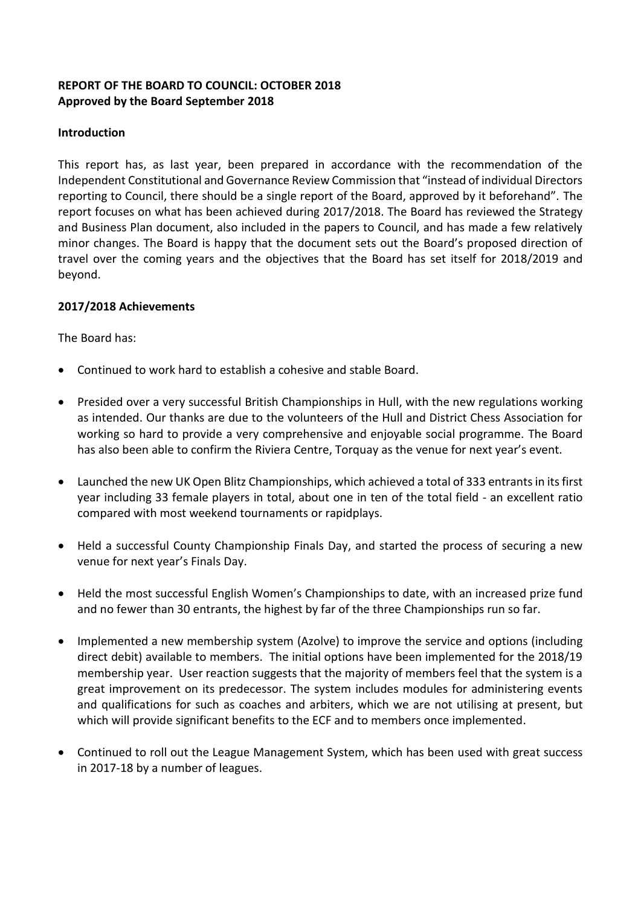## **REPORT OF THE BOARD TO COUNCIL: OCTOBER 2018 Approved by the Board September 2018**

## **Introduction**

This report has, as last year, been prepared in accordance with the recommendation of the Independent Constitutional and Governance Review Commission that "instead of individual Directors reporting to Council, there should be a single report of the Board, approved by it beforehand". The report focuses on what has been achieved during 2017/2018. The Board has reviewed the Strategy and Business Plan document, also included in the papers to Council, and has made a few relatively minor changes. The Board is happy that the document sets out the Board's proposed direction of travel over the coming years and the objectives that the Board has set itself for 2018/2019 and beyond.

## **2017/2018 Achievements**

The Board has:

- Continued to work hard to establish a cohesive and stable Board.
- Presided over a very successful British Championships in Hull, with the new regulations working as intended. Our thanks are due to the volunteers of the Hull and District Chess Association for working so hard to provide a very comprehensive and enjoyable social programme. The Board has also been able to confirm the Riviera Centre, Torquay as the venue for next year's event.
- Launched the new UK Open Blitz Championships, which achieved a total of 333 entrants in its first year including 33 female players in total, about one in ten of the total field - an excellent ratio compared with most weekend tournaments or rapidplays.
- Held a successful County Championship Finals Day, and started the process of securing a new venue for next year's Finals Day.
- Held the most successful English Women's Championships to date, with an increased prize fund and no fewer than 30 entrants, the highest by far of the three Championships run so far.
- Implemented a new membership system (Azolve) to improve the service and options (including direct debit) available to members. The initial options have been implemented for the 2018/19 membership year. User reaction suggests that the majority of members feel that the system is a great improvement on its predecessor. The system includes modules for administering events and qualifications for such as coaches and arbiters, which we are not utilising at present, but which will provide significant benefits to the ECF and to members once implemented.
- Continued to roll out the League Management System, which has been used with great success in 2017-18 by a number of leagues.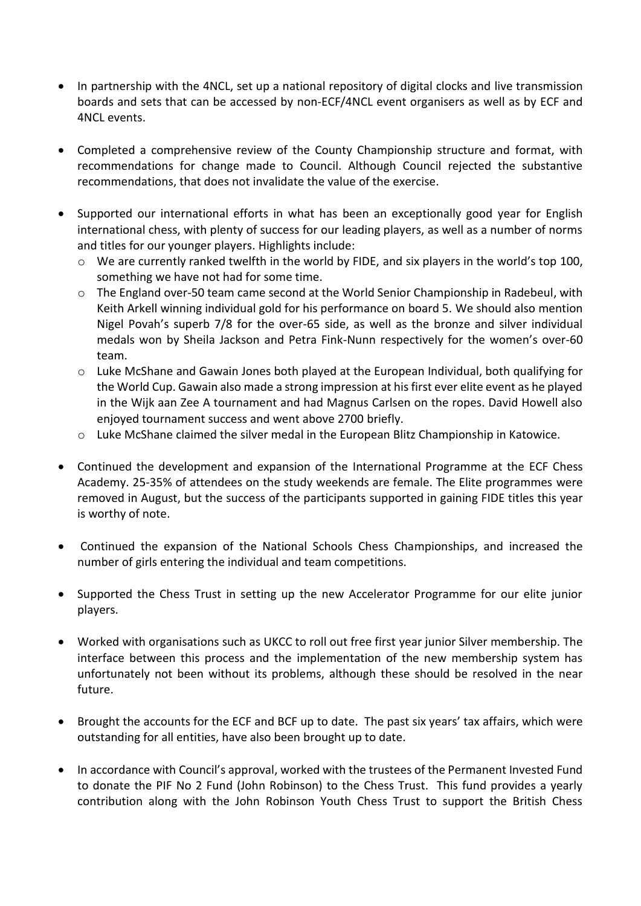- In partnership with the 4NCL, set up a national repository of digital clocks and live transmission boards and sets that can be accessed by non-ECF/4NCL event organisers as well as by ECF and 4NCL events.
- Completed a comprehensive review of the County Championship structure and format, with recommendations for change made to Council. Although Council rejected the substantive recommendations, that does not invalidate the value of the exercise.
- Supported our international efforts in what has been an exceptionally good year for English international chess, with plenty of success for our leading players, as well as a number of norms and titles for our younger players. Highlights include:
	- o We are currently ranked twelfth in the world by FIDE, and six players in the world's top 100, something we have not had for some time.
	- o The England over-50 team came second at the World Senior Championship in Radebeul, with Keith Arkell winning individual gold for his performance on board 5. We should also mention Nigel Povah's superb 7/8 for the over-65 side, as well as the bronze and silver individual medals won by Sheila Jackson and Petra Fink-Nunn respectively for the women's over-60 team.
	- o Luke McShane and Gawain Jones both played at the European Individual, both qualifying for the World Cup. Gawain also made a strong impression at his first ever elite event as he played in the Wijk aan Zee A tournament and had Magnus Carlsen on the ropes. David Howell also enjoyed tournament success and went above 2700 briefly.
	- o Luke McShane claimed the silver medal in the European Blitz Championship in Katowice.
- Continued the development and expansion of the International Programme at the ECF Chess Academy. 25-35% of attendees on the study weekends are female. The Elite programmes were removed in August, but the success of the participants supported in gaining FIDE titles this year is worthy of note.
- Continued the expansion of the National Schools Chess Championships, and increased the number of girls entering the individual and team competitions.
- Supported the Chess Trust in setting up the new Accelerator Programme for our elite junior players.
- Worked with organisations such as UKCC to roll out free first year junior Silver membership. The interface between this process and the implementation of the new membership system has unfortunately not been without its problems, although these should be resolved in the near future.
- Brought the accounts for the ECF and BCF up to date. The past six years' tax affairs, which were outstanding for all entities, have also been brought up to date.
- In accordance with Council's approval, worked with the trustees of the Permanent Invested Fund to donate the PIF No 2 Fund (John Robinson) to the Chess Trust. This fund provides a yearly contribution along with the John Robinson Youth Chess Trust to support the British Chess